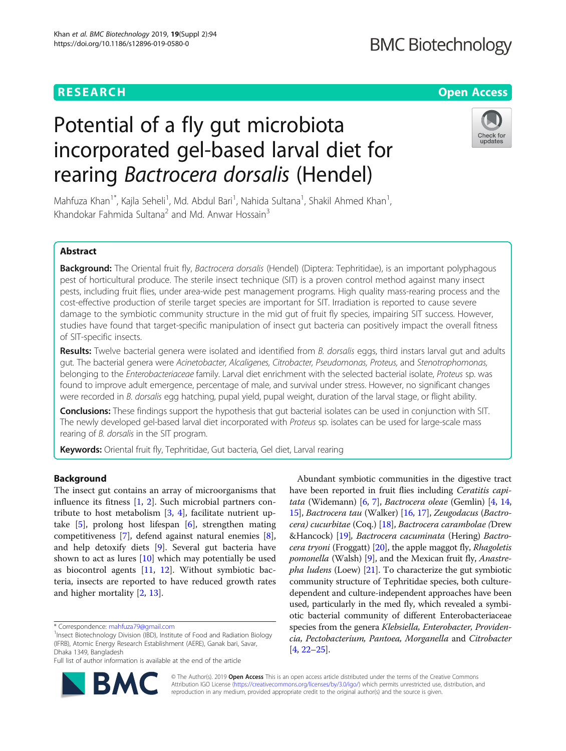# **RESEARCH CHE Open Access**

# **BMC Biotechnology**

# Potential of a fly gut microbiota incorporated gel-based larval diet for rearing Bactrocera dorsalis (Hendel)



Mahfuza Khan<sup>1\*</sup>, Kajla Seheli<sup>1</sup>, Md. Abdul Bari<sup>1</sup>, Nahida Sultana<sup>1</sup>, Shakil Ahmed Khan<sup>1</sup> , Khandokar Fahmida Sultana<sup>2</sup> and Md. Anwar Hossain<sup>3</sup>

# Abstract

Background: The Oriental fruit fly, Bactrocera dorsalis (Hendel) (Diptera: Tephritidae), is an important polyphagous pest of horticultural produce. The sterile insect technique (SIT) is a proven control method against many insect pests, including fruit flies, under area-wide pest management programs. High quality mass-rearing process and the cost-effective production of sterile target species are important for SIT. Irradiation is reported to cause severe damage to the symbiotic community structure in the mid gut of fruit fly species, impairing SIT success. However, studies have found that target-specific manipulation of insect gut bacteria can positively impact the overall fitness of SIT-specific insects.

Results: Twelve bacterial genera were isolated and identified from B. dorsalis eggs, third instars larval gut and adults gut. The bacterial genera were Acinetobacter, Alcaligenes, Citrobacter, Pseudomonas, Proteus, and Stenotrophomonas, belonging to the Enterobacteriaceae family. Larval diet enrichment with the selected bacterial isolate, Proteus sp. was found to improve adult emergence, percentage of male, and survival under stress. However, no significant changes were recorded in B. dorsalis egg hatching, pupal yield, pupal weight, duration of the larval stage, or flight ability.

Conclusions: These findings support the hypothesis that gut bacterial isolates can be used in conjunction with SIT. The newly developed gel-based larval diet incorporated with Proteus sp. isolates can be used for large-scale mass rearing of B. dorsalis in the SIT program.

Keywords: Oriental fruit fly, Tephritidae, Gut bacteria, Gel diet, Larval rearing

# Background

The insect gut contains an array of microorganisms that influence its fitness [[1,](#page-7-0) [2\]](#page-7-0). Such microbial partners contribute to host metabolism [[3,](#page-7-0) [4\]](#page-7-0), facilitate nutrient uptake [\[5](#page-7-0)], prolong host lifespan [[6\]](#page-7-0), strengthen mating competitiveness [[7\]](#page-7-0), defend against natural enemies [\[8](#page-7-0)], and help detoxify diets [[9\]](#page-7-0). Several gut bacteria have shown to act as lures [[10\]](#page-7-0) which may potentially be used as biocontrol agents [[11](#page-7-0), [12](#page-7-0)]. Without symbiotic bacteria, insects are reported to have reduced growth rates and higher mortality [[2,](#page-7-0) [13\]](#page-7-0).

Full list of author information is available at the end of the article



Abundant symbiotic communities in the digestive tract have been reported in fruit flies including Ceratitis capitata (Widemann) [[6](#page-7-0), [7\]](#page-7-0), Bactrocera oleae (Gemlin) [[4,](#page-7-0) [14](#page-7-0), [15](#page-7-0)], Bactrocera tau (Walker) [[16](#page-7-0), [17\]](#page-7-0), Zeugodacus (Bactro-cera) cucurbitae (Coq.) [[18\]](#page-7-0), Bactrocera carambolae (Drew &Hancock) [[19\]](#page-7-0), Bactrocera cacuminata (Hering) Bactro-cera tryoni (Froggatt) [\[20\]](#page-8-0), the apple maggot fly, Rhagoletis pomonella (Walsh) [[9\]](#page-7-0), and the Mexican fruit fly, Anastre*pha ludens* (Loew)  $[21]$  $[21]$ . To characterize the gut symbiotic community structure of Tephritidae species, both culturedependent and culture-independent approaches have been used, particularly in the med fly, which revealed a symbiotic bacterial community of different Enterobacteriaceae species from the genera Klebsiella, Enterobacter, Providencia, Pectobacterium, Pantoea, Morganella and Citrobacter [[4,](#page-7-0) [22](#page-8-0)–[25](#page-8-0)].

© The Author(s). 2019 Open Access This is an open access article distributed under the terms of the Creative Commons Attribution IGO License [\(https://creativecommons.org/licenses/by/3.0/igo/\)](https://creativecommons.org/licenses/by/3.0/igo/) which permits unrestricted use, distribution, and reproduction in any medium, provided appropriate credit to the original author(s) and the source is given.

<sup>\*</sup> Correspondence: [mahfuza79@gmail.com](mailto:mahfuza79@gmail.com) <sup>1</sup>

<sup>&</sup>lt;sup>1</sup> Insect Biotechnology Division (IBD), Institute of Food and Radiation Biology (IFRB), Atomic Energy Research Establishment (AERE), Ganak bari, Savar, Dhaka 1349, Bangladesh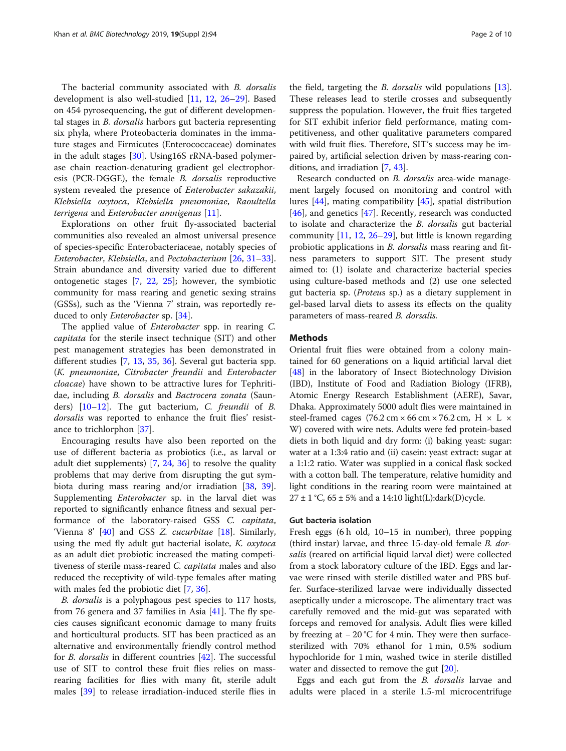The bacterial community associated with B. dorsalis development is also well-studied [\[11,](#page-7-0) [12,](#page-7-0) [26](#page-8-0)–[29\]](#page-8-0). Based on 454 pyrosequencing, the gut of different developmental stages in *B. dorsalis* harbors gut bacteria representing six phyla, where Proteobacteria dominates in the immature stages and Firmicutes (Enterococcaceae) dominates in the adult stages [\[30\]](#page-8-0). Using16S rRNA-based polymerase chain reaction-denaturing gradient gel electrophoresis (PCR-DGGE), the female B. dorsalis reproductive system revealed the presence of Enterobacter sakazakii, Klebsiella oxytoca, Klebsiella pneumoniae, Raoultella terrigena and Enterobacter amnigenus [[11\]](#page-7-0).

Explorations on other fruit fly-associated bacterial communities also revealed an almost universal presence of species-specific Enterobacteriaceae, notably species of Enterobacter, Klebsiella, and Pectobacterium [[26,](#page-8-0) [31](#page-8-0)–[33](#page-8-0)]. Strain abundance and diversity varied due to different ontogenetic stages [\[7](#page-7-0), [22](#page-8-0), [25](#page-8-0)]; however, the symbiotic community for mass rearing and genetic sexing strains (GSSs), such as the 'Vienna 7' strain, was reportedly reduced to only *Enterobacter* sp. [[34](#page-8-0)].

The applied value of Enterobacter spp. in rearing C. capitata for the sterile insect technique (SIT) and other pest management strategies has been demonstrated in different studies [[7](#page-7-0), [13,](#page-7-0) [35](#page-8-0), [36\]](#page-8-0). Several gut bacteria spp. (K. pneumoniae, Citrobacter freundii and Enterobacter cloacae) have shown to be attractive lures for Tephritidae, including B. dorsalis and Bactrocera zonata (Saunders) [\[10](#page-7-0)–[12\]](#page-7-0). The gut bacterium, C. freundii of B. dorsalis was reported to enhance the fruit flies' resistance to trichlorphon [\[37\]](#page-8-0).

Encouraging results have also been reported on the use of different bacteria as probiotics (i.e., as larval or adult diet supplements) [[7,](#page-7-0) [24](#page-8-0), [36](#page-8-0)] to resolve the quality problems that may derive from disrupting the gut symbiota during mass rearing and/or irradiation [\[38,](#page-8-0) [39](#page-8-0)]. Supplementing Enterobacter sp. in the larval diet was reported to significantly enhance fitness and sexual performance of the laboratory-raised GSS C. capitata, 'Vienna 8' [[40](#page-8-0)] and GSS Z. cucurbitae [\[18](#page-7-0)]. Similarly, using the med fly adult gut bacterial isolate, K. oxytoca as an adult diet probiotic increased the mating competitiveness of sterile mass-reared C. capitata males and also reduced the receptivity of wild-type females after mating with males fed the probiotic diet [\[7](#page-7-0), [36](#page-8-0)].

B. dorsalis is a polyphagous pest species to 117 hosts, from 76 genera and 37 families in Asia  $[41]$ . The fly species causes significant economic damage to many fruits and horticultural products. SIT has been practiced as an alternative and environmentally friendly control method for B. dorsalis in different countries [[42\]](#page-8-0). The successful use of SIT to control these fruit flies relies on massrearing facilities for flies with many fit, sterile adult males [[39](#page-8-0)] to release irradiation-induced sterile flies in the field, targeting the B. dorsalis wild populations [\[13](#page-7-0)]. These releases lead to sterile crosses and subsequently suppress the population. However, the fruit flies targeted for SIT exhibit inferior field performance, mating competitiveness, and other qualitative parameters compared with wild fruit flies. Therefore, SIT's success may be impaired by, artificial selection driven by mass-rearing conditions, and irradiation [\[7](#page-7-0), [43](#page-8-0)].

Research conducted on B. dorsalis area-wide management largely focused on monitoring and control with lures [\[44](#page-8-0)], mating compatibility [\[45](#page-8-0)], spatial distribution [[46\]](#page-8-0), and genetics [[47\]](#page-8-0). Recently, research was conducted to isolate and characterize the B. dorsalis gut bacterial community [[11](#page-7-0), [12,](#page-7-0) [26](#page-8-0)–[29](#page-8-0)], but little is known regarding probiotic applications in *B. dorsalis* mass rearing and fitness parameters to support SIT. The present study aimed to: (1) isolate and characterize bacterial species using culture-based methods and (2) use one selected gut bacteria sp. (Proteus sp.) as a dietary supplement in gel-based larval diets to assess its effects on the quality parameters of mass-reared B. dorsalis.

# **Methods**

Oriental fruit flies were obtained from a colony maintained for 60 generations on a liquid artificial larval diet [[48](#page-8-0)] in the laboratory of Insect Biotechnology Division (IBD), Institute of Food and Radiation Biology (IFRB), Atomic Energy Research Establishment (AERE), Savar, Dhaka. Approximately 5000 adult flies were maintained in steel-framed cages  $(76.2 \text{ cm} \times 66 \text{ cm} \times 76.2 \text{ cm}, \text{H} \times \text{L} \times$ W) covered with wire nets. Adults were fed protein-based diets in both liquid and dry form: (i) baking yeast: sugar: water at a 1:3:4 ratio and (ii) casein: yeast extract: sugar at a 1:1:2 ratio. Water was supplied in a conical flask socked with a cotton ball. The temperature, relative humidity and light conditions in the rearing room were maintained at  $27 \pm 1$  °C, 65  $\pm$  5% and a 14:10 light(L):dark(D)cycle.

#### Gut bacteria isolation

Fresh eggs (6 h old, 10–15 in number), three popping (third instar) larvae, and three 15-day-old female B. dorsalis (reared on artificial liquid larval diet) were collected from a stock laboratory culture of the IBD. Eggs and larvae were rinsed with sterile distilled water and PBS buffer. Surface-sterilized larvae were individually dissected aseptically under a microscope. The alimentary tract was carefully removed and the mid-gut was separated with forceps and removed for analysis. Adult flies were killed by freezing at − 20 °C for 4 min. They were then surfacesterilized with 70% ethanol for 1 min, 0.5% sodium hypochloride for 1 min, washed twice in sterile distilled water and dissected to remove the gut [[20](#page-8-0)].

Eggs and each gut from the *B. dorsalis* larvae and adults were placed in a sterile 1.5-ml microcentrifuge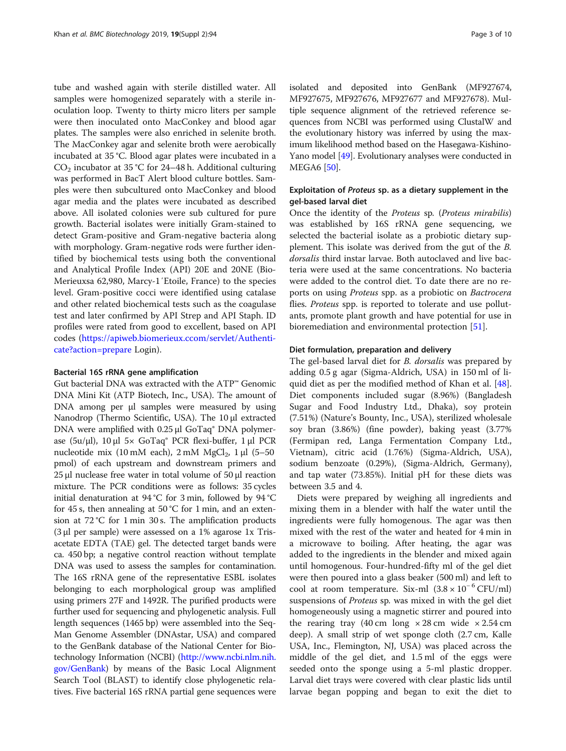tube and washed again with sterile distilled water. All samples were homogenized separately with a sterile inoculation loop. Twenty to thirty micro liters per sample were then inoculated onto MacConkey and blood agar plates. The samples were also enriched in selenite broth. The MacConkey agar and selenite broth were aerobically incubated at 35 °C. Blood agar plates were incubated in a  $CO<sub>2</sub>$  incubator at 35 °C for 24–48 h. Additional culturing was performed in BacT Alert blood culture bottles. Samples were then subcultured onto MacConkey and blood agar media and the plates were incubated as described above. All isolated colonies were sub cultured for pure growth. Bacterial isolates were initially Gram-stained to detect Gram-positive and Gram-negative bacteria along with morphology. Gram-negative rods were further identified by biochemical tests using both the conventional and Analytical Profile Index (API) 20E and 20NE (Bio-Merieuxsa 62,980, Marcy-1′Etoile, France) to the species level. Gram-positive cocci were identified using catalase and other related biochemical tests such as the coagulase test and later confirmed by API Strep and API Staph. ID profiles were rated from good to excellent, based on API codes [\(https://apiweb.biomerieux.ccom/servlet/Authenti](https://apiweb.biomerieux.ccom/servlet/Authenticate?action=prepare)[cate?action=prepare](https://apiweb.biomerieux.ccom/servlet/Authenticate?action=prepare) Login).

### Bacterial 16S rRNA gene amplification

Gut bacterial DNA was extracted with the ATP™ Genomic DNA Mini Kit (ATP Biotech, Inc., USA). The amount of DNA among per μl samples were measured by using Nanodrop (Thermo Scientific, USA). The 10 μl extracted DNA were amplified with 0.25 μl GoTaq<sup>®</sup> DNA polymerase (5u/μl), 10 μl 5× GoTaq® PCR flexi-buffer, 1 μl PCR nucleotide mix (10 mM each),  $2 \text{ mM } MgCl_2$ ,  $1 \mu l$  (5–50 pmol) of each upstream and downstream primers and 25 μl nuclease free water in total volume of 50 μl reaction mixture. The PCR conditions were as follows: 35 cycles initial denaturation at 94 °C for 3 min, followed by 94 °C for 45 s, then annealing at 50 °C for 1 min, and an extension at 72 °C for 1 min 30 s. The amplification products (3 μl per sample) were assessed on a 1% agarose 1x Trisacetate EDTA (TAE) gel. The detected target bands were ca. 450 bp; a negative control reaction without template DNA was used to assess the samples for contamination. The 16S rRNA gene of the representative ESBL isolates belonging to each morphological group was amplified using primers 27F and 1492R. The purified products were further used for sequencing and phylogenetic analysis. Full length sequences (1465 bp) were assembled into the Seq-Man Genome Assembler (DNAstar, USA) and compared to the GenBank database of the National Center for Biotechnology Information (NCBI) [\(http://www.ncbi.nlm.nih.](http://www.ncbi.nlm.nih.gov/GenBank) [gov/GenBank](http://www.ncbi.nlm.nih.gov/GenBank)) by means of the Basic Local Alignment Search Tool (BLAST) to identify close phylogenetic relatives. Five bacterial 16S rRNA partial gene sequences were isolated and deposited into GenBank (MF927674, MF927675, MF927676, MF927677 and MF927678). Multiple sequence alignment of the retrieved reference sequences from NCBI was performed using ClustalW and the evolutionary history was inferred by using the maximum likelihood method based on the Hasegawa-Kishino-Yano model [[49](#page-8-0)]. Evolutionary analyses were conducted in MEGA6 [[50](#page-8-0)].

# Exploitation of Proteus sp. as a dietary supplement in the gel-based larval diet

Once the identity of the Proteus sp. (Proteus mirabilis) was established by 16S rRNA gene sequencing, we selected the bacterial isolate as a probiotic dietary supplement. This isolate was derived from the gut of the B. dorsalis third instar larvae. Both autoclaved and live bacteria were used at the same concentrations. No bacteria were added to the control diet. To date there are no reports on using Proteus spp. as a probiotic on Bactrocera flies. *Proteus* spp. is reported to tolerate and use pollutants, promote plant growth and have potential for use in bioremediation and environmental protection [[51\]](#page-8-0).

# Diet formulation, preparation and delivery

The gel-based larval diet for *B. dorsalis* was prepared by adding 0.5 g agar (Sigma-Aldrich, USA) in 150 ml of liquid diet as per the modified method of Khan et al. [\[48](#page-8-0)]. Diet components included sugar (8.96%) (Bangladesh Sugar and Food Industry Ltd., Dhaka), soy protein (7.51%) (Nature's Bounty, Inc., USA), sterilized wholesale soy bran (3.86%) (fine powder), baking yeast (3.77% (Fermipan red, Langa Fermentation Company Ltd., Vietnam), citric acid (1.76%) (Sigma-Aldrich, USA), sodium benzoate (0.29%), (Sigma-Aldrich, Germany), and tap water (73.85%). Initial pH for these diets was between 3.5 and 4.

Diets were prepared by weighing all ingredients and mixing them in a blender with half the water until the ingredients were fully homogenous. The agar was then mixed with the rest of the water and heated for 4 min in a microwave to boiling. After heating, the agar was added to the ingredients in the blender and mixed again until homogenous. Four-hundred-fifty ml of the gel diet were then poured into a glass beaker (500 ml) and left to cool at room temperature. Six-ml (3.8 × 10<sup>−</sup> <sup>6</sup> CFU/ml) suspensions of Proteus sp. was mixed in with the gel diet homogeneously using a magnetic stirrer and poured into the rearing tray (40 cm long  $\times$  28 cm wide  $\times$  2.54 cm deep). A small strip of wet sponge cloth (2.7 cm, Kalle USA, Inc., Flemington, NJ, USA) was placed across the middle of the gel diet, and 1.5 ml of the eggs were seeded onto the sponge using a 5-ml plastic dropper. Larval diet trays were covered with clear plastic lids until larvae began popping and began to exit the diet to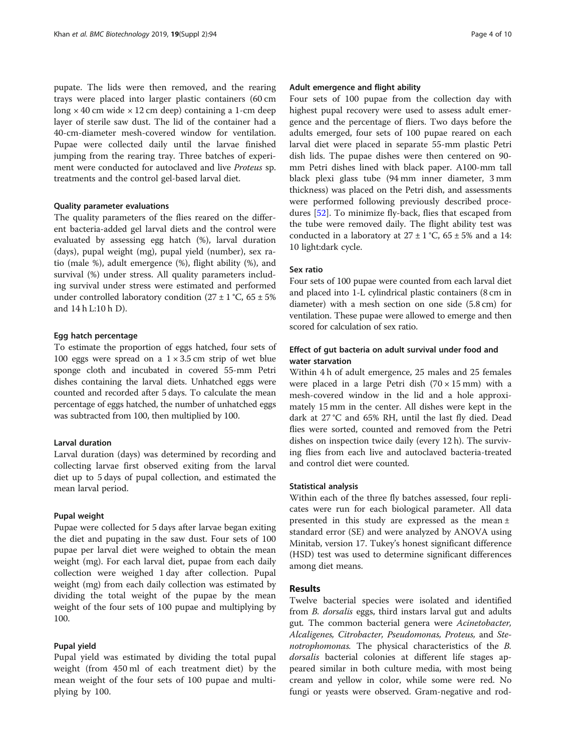pupate. The lids were then removed, and the rearing trays were placed into larger plastic containers (60 cm long  $\times$  40 cm wide  $\times$  12 cm deep) containing a 1-cm deep layer of sterile saw dust. The lid of the container had a 40-cm-diameter mesh-covered window for ventilation. Pupae were collected daily until the larvae finished jumping from the rearing tray. Three batches of experiment were conducted for autoclaved and live Proteus sp. treatments and the control gel-based larval diet.

# Quality parameter evaluations

The quality parameters of the flies reared on the different bacteria-added gel larval diets and the control were evaluated by assessing egg hatch (%), larval duration (days), pupal weight (mg), pupal yield (number), sex ratio (male %), adult emergence (%), flight ability (%), and survival (%) under stress. All quality parameters including survival under stress were estimated and performed under controlled laboratory condition  $(27 \pm 1 \degree C, 65 \pm 5\%)$ and 14 h L:10 h D).

# Egg hatch percentage

To estimate the proportion of eggs hatched, four sets of 100 eggs were spread on a  $1 \times 3.5$  cm strip of wet blue sponge cloth and incubated in covered 55-mm Petri dishes containing the larval diets. Unhatched eggs were counted and recorded after 5 days. To calculate the mean percentage of eggs hatched, the number of unhatched eggs was subtracted from 100, then multiplied by 100.

# Larval duration

Larval duration (days) was determined by recording and collecting larvae first observed exiting from the larval diet up to 5 days of pupal collection, and estimated the mean larval period.

#### Pupal weight

Pupae were collected for 5 days after larvae began exiting the diet and pupating in the saw dust. Four sets of 100 pupae per larval diet were weighed to obtain the mean weight (mg). For each larval diet, pupae from each daily collection were weighed 1 day after collection. Pupal weight (mg) from each daily collection was estimated by dividing the total weight of the pupae by the mean weight of the four sets of 100 pupae and multiplying by 100.

# Pupal yield

Pupal yield was estimated by dividing the total pupal weight (from 450 ml of each treatment diet) by the mean weight of the four sets of 100 pupae and multiplying by 100.

# Adult emergence and flight ability

Four sets of 100 pupae from the collection day with highest pupal recovery were used to assess adult emergence and the percentage of fliers. Two days before the adults emerged, four sets of 100 pupae reared on each larval diet were placed in separate 55-mm plastic Petri dish lids. The pupae dishes were then centered on 90 mm Petri dishes lined with black paper. A100-mm tall black plexi glass tube (94 mm inner diameter, 3 mm thickness) was placed on the Petri dish, and assessments were performed following previously described procedures [\[52](#page-8-0)]. To minimize fly-back, flies that escaped from the tube were removed daily. The flight ability test was conducted in a laboratory at  $27 \pm 1$  °C,  $65 \pm 5$ % and a 14: 10 light:dark cycle.

# Sex ratio

Four sets of 100 pupae were counted from each larval diet and placed into 1-L cylindrical plastic containers (8 cm in diameter) with a mesh section on one side (5.8 cm) for ventilation. These pupae were allowed to emerge and then scored for calculation of sex ratio.

# Effect of gut bacteria on adult survival under food and water starvation

Within 4 h of adult emergence, 25 males and 25 females were placed in a large Petri dish  $(70 \times 15 \text{ mm})$  with a mesh-covered window in the lid and a hole approximately 15 mm in the center. All dishes were kept in the dark at 27 °C and 65% RH, until the last fly died. Dead flies were sorted, counted and removed from the Petri dishes on inspection twice daily (every 12 h). The surviving flies from each live and autoclaved bacteria-treated and control diet were counted.

# Statistical analysis

Within each of the three fly batches assessed, four replicates were run for each biological parameter. All data presented in this study are expressed as the mean ± standard error (SE) and were analyzed by ANOVA using Minitab, version 17. Tukey's honest significant difference (HSD) test was used to determine significant differences among diet means.

# Results

Twelve bacterial species were isolated and identified from B. dorsalis eggs, third instars larval gut and adults gut. The common bacterial genera were Acinetobacter, Alcaligenes, Citrobacter, Pseudomonas, Proteus, and Stenotrophomonas. The physical characteristics of the B. dorsalis bacterial colonies at different life stages appeared similar in both culture media, with most being cream and yellow in color, while some were red. No fungi or yeasts were observed. Gram-negative and rod-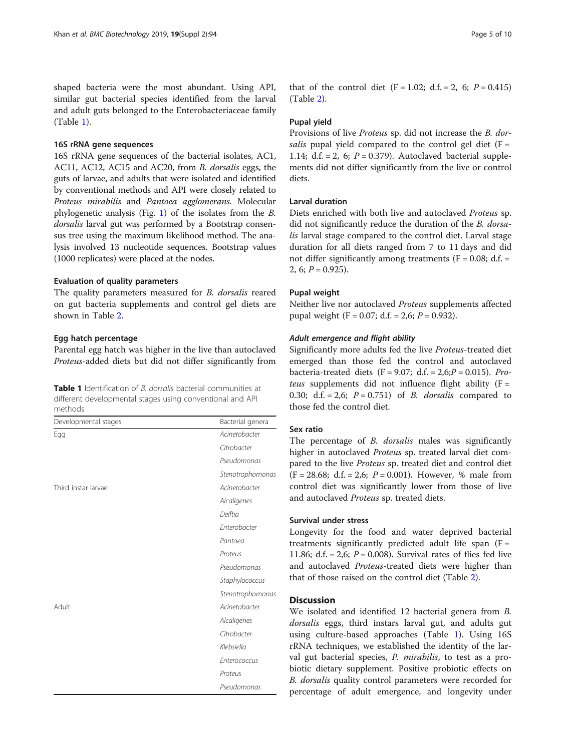shaped bacteria were the most abundant. Using API, similar gut bacterial species identified from the larval and adult guts belonged to the Enterobacteriaceae family (Table 1).

# 16S rRNA gene sequences

16S rRNA gene sequences of the bacterial isolates, AC1, AC11, AC12, AC15 and AC20, from B. dorsalis eggs, the guts of larvae, and adults that were isolated and identified by conventional methods and API were closely related to Proteus mirabilis and Pantoea agglomerans. Molecular phylogenetic analysis (Fig. [1\)](#page-5-0) of the isolates from the B. dorsalis larval gut was performed by a Bootstrap consensus tree using the maximum likelihood method. The analysis involved 13 nucleotide sequences. Bootstrap values (1000 replicates) were placed at the nodes.

# Evaluation of quality parameters

The quality parameters measured for B. dorsalis reared on gut bacteria supplements and control gel diets are shown in Table [2.](#page-5-0)

# Egg hatch percentage

Parental egg hatch was higher in the live than autoclaved Proteus-added diets but did not differ significantly from

| <b>Table 1</b> Identification of <i>B. dorsalis</i> bacterial communities at |
|------------------------------------------------------------------------------|
| different developmental stages using conventional and API                    |
| methods.                                                                     |

| Bacterial genera |
|------------------|
| Acinetobacter    |
| Citrobacter      |
| Pseudomonas      |
| Stenotrophomonas |
| Acinetobacter    |
| Alcaligenes      |
| Delftia          |
| Enterobacter     |
| Pantoea          |
| Proteus          |
| Pseudomonas      |
| Staphylococcus   |
| Stenotrophomonas |
| Acinetobacter    |
| Alcaligenes      |
| Citrobacter      |
| Klebsiella       |
| Enterococcus     |
| Proteus          |
| Pseudomonas      |
|                  |

that of the control diet  $(F = 1.02; d.f. = 2, 6; P = 0.415)$ (Table [2\)](#page-5-0).

#### Pupal yield

Provisions of live Proteus sp. did not increase the B. dorsalis pupal yield compared to the control gel diet ( $F =$ 1.14; d.f. = 2, 6;  $P = 0.379$ ). Autoclaved bacterial supplements did not differ significantly from the live or control diets.

# Larval duration

Diets enriched with both live and autoclaved Proteus sp. did not significantly reduce the duration of the B. dorsalis larval stage compared to the control diet. Larval stage duration for all diets ranged from 7 to 11 days and did not differ significantly among treatments ( $F = 0.08$ ; d.f. = 2, 6;  $P = 0.925$ ).

#### Pupal weight

Neither live nor autoclaved Proteus supplements affected pupal weight (F = 0.07; d.f. = 2,6;  $P = 0.932$ ).

### Adult emergence and flight ability

Significantly more adults fed the live Proteus-treated diet emerged than those fed the control and autoclaved bacteria-treated diets (F = 9.07; d.f. = 2,6; $P$  = 0.015). Proteus supplements did not influence flight ability  $(F =$ 0.30; d.f. = 2,6;  $P = 0.751$  of B. *dorsalis* compared to those fed the control diet.

# Sex ratio

The percentage of B. dorsalis males was significantly higher in autoclaved Proteus sp. treated larval diet compared to the live Proteus sp. treated diet and control diet  $(F = 28.68; d.f. = 2.6; P = 0.001)$ . However, % male from control diet was significantly lower from those of live and autoclaved Proteus sp. treated diets.

# Survival under stress

Longevity for the food and water deprived bacterial treatments significantly predicted adult life span  $(F =$ 11.86; d.f. = 2,6;  $P = 0.008$ ). Survival rates of flies fed live and autoclaved Proteus-treated diets were higher than that of those raised on the control diet (Table [2](#page-5-0)).

# **Discussion**

We isolated and identified 12 bacterial genera from B. dorsalis eggs, third instars larval gut, and adults gut using culture-based approaches (Table 1). Using 16S rRNA techniques, we established the identity of the larval gut bacterial species, *P. mirabilis*, to test as a probiotic dietary supplement. Positive probiotic effects on B. dorsalis quality control parameters were recorded for percentage of adult emergence, and longevity under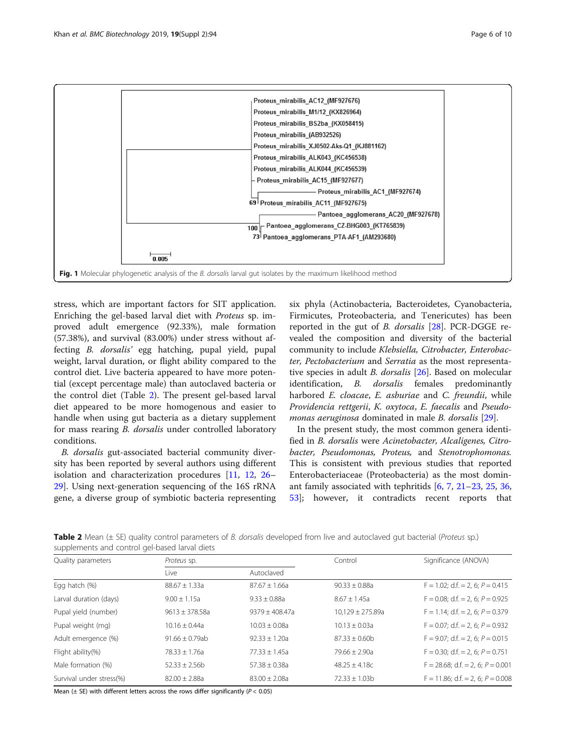<span id="page-5-0"></span>

stress, which are important factors for SIT application. Enriching the gel-based larval diet with Proteus sp. improved adult emergence (92.33%), male formation (57.38%), and survival (83.00%) under stress without affecting B. dorsalis' egg hatching, pupal yield, pupal weight, larval duration, or flight ability compared to the control diet. Live bacteria appeared to have more potential (except percentage male) than autoclaved bacteria or the control diet (Table 2). The present gel-based larval diet appeared to be more homogenous and easier to handle when using gut bacteria as a dietary supplement for mass rearing B. dorsalis under controlled laboratory conditions.

B. dorsalis gut-associated bacterial community diversity has been reported by several authors using different isolation and characterization procedures [[11](#page-7-0), [12,](#page-7-0) [26](#page-8-0)– [29\]](#page-8-0). Using next-generation sequencing of the 16S rRNA gene, a diverse group of symbiotic bacteria representing

six phyla (Actinobacteria, Bacteroidetes, Cyanobacteria, Firmicutes, Proteobacteria, and Tenericutes) has been reported in the gut of B. dorsalis  $[28]$  $[28]$ . PCR-DGGE revealed the composition and diversity of the bacterial community to include Klebsiella, Citrobacter, Enterobacter, Pectobacterium and Serratia as the most representative species in adult *B. dorsalis* [[26\]](#page-8-0). Based on molecular identification, B. dorsalis females predominantly harbored E. cloacae, E. asburiae and C. freundii, while Providencia rettgerii, K. oxytoca, E. faecalis and Pseudomonas aeruginosa dominated in male B. dorsalis [\[29](#page-8-0)].

In the present study, the most common genera identified in B. dorsalis were Acinetobacter, Alcaligenes, Citrobacter, Pseudomonas, Proteus, and Stenotrophomonas. This is consistent with previous studies that reported Enterobacteriaceae (Proteobacteria) as the most dominant family associated with tephritids [[6,](#page-7-0) [7](#page-7-0), [21](#page-8-0)–[23](#page-8-0), [25](#page-8-0), [36](#page-8-0), [53\]](#page-8-0); however, it contradicts recent reports that

Table 2 Mean (± SE) quality control parameters of B. dorsalis developed from live and autoclaved gut bacterial (Proteus sp.) supplements and control gel-based larval diets

| Quality parameters       | Proteus sp.         |                   | Control              | Significance (ANOVA)                   |
|--------------------------|---------------------|-------------------|----------------------|----------------------------------------|
|                          | Live                | Autoclaved        |                      |                                        |
| Egg hatch (%)            | $88.67 + 1.33a$     | $87.67 + 1.66a$   | $90.33 + 0.88a$      | $F = 1.02$ ; d.f. = 2, 6; $P = 0.415$  |
| Larval duration (days)   | $9.00 + 1.15a$      | $9.33 + 0.88a$    | $8.67 + 1.45a$       | $F = 0.08$ ; d.f. = 2, 6; $P = 0.925$  |
| Pupal yield (number)     | $9613 + 378.58a$    | $9379 + 408.47a$  | $10,129 \pm 275.89a$ | $F = 1.14$ ; d.f. = 2, 6; $P = 0.379$  |
| Pupal weight (mg)        | $10.16 + 0.44a$     | $10.03 + 0.08a$   | $10.13 + 0.03a$      | $F = 0.07$ ; d.f. = 2, 6; $P = 0.932$  |
| Adult emergence (%)      | $91.66 \pm 0.79$ ab | $92.33 \pm 1.20a$ | $87.33 + 0.60b$      | $F = 9.07$ ; d.f. = 2, 6; $P = 0.015$  |
| Flight ability(%)        | $78.33 + 1.76a$     | $77.33 + 1.45a$   | $79.66 + 2.90a$      | $F = 0.30$ ; d.f. = 2, 6; $P = 0.751$  |
| Male formation (%)       | $52.33 + 2.56b$     | $57.38 + 0.38a$   | $48.25 + 4.18c$      | $F = 28.68$ ; d.f. = 2, 6; $P = 0.001$ |
| Survival under stress(%) | $82.00 + 2.88a$     | $83.00 + 2.08a$   | $72.33 + 1.03b$      | $F = 11.86$ ; d.f. = 2, 6; $P = 0.008$ |

Mean ( $\pm$  SE) with different letters across the rows differ significantly ( $P < 0.05$ )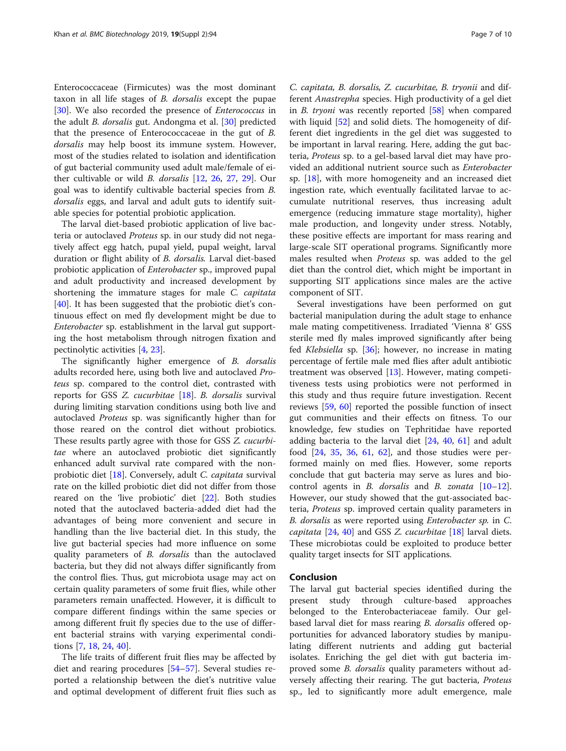Enterococcaceae (Firmicutes) was the most dominant taxon in all life stages of B. dorsalis except the pupae [[30\]](#page-8-0). We also recorded the presence of *Enterococcus* in the adult B. dorsalis gut. Andongma et al. [\[30\]](#page-8-0) predicted that the presence of Enterococcaceae in the gut of B. dorsalis may help boost its immune system. However, most of the studies related to isolation and identification of gut bacterial community used adult male/female of either cultivable or wild B. dorsalis [\[12,](#page-7-0) [26,](#page-8-0) [27](#page-8-0), [29](#page-8-0)]. Our goal was to identify cultivable bacterial species from B. dorsalis eggs, and larval and adult guts to identify suitable species for potential probiotic application.

The larval diet-based probiotic application of live bacteria or autoclaved Proteus sp. in our study did not negatively affect egg hatch, pupal yield, pupal weight, larval duration or flight ability of B. dorsalis. Larval diet-based probiotic application of Enterobacter sp., improved pupal and adult productivity and increased development by shortening the immature stages for male C. capitata [[40\]](#page-8-0). It has been suggested that the probiotic diet's continuous effect on med fly development might be due to Enterobacter sp. establishment in the larval gut supporting the host metabolism through nitrogen fixation and pectinolytic activities [[4](#page-7-0), [23](#page-8-0)].

The significantly higher emergence of B. dorsalis adults recorded here, using both live and autoclaved Proteus sp. compared to the control diet, contrasted with reports for GSS Z. cucurbitae [\[18](#page-7-0)]. B. dorsalis survival during limiting starvation conditions using both live and autoclaved Proteus sp. was significantly higher than for those reared on the control diet without probiotics. These results partly agree with those for GSS Z. cucurbitae where an autoclaved probiotic diet significantly enhanced adult survival rate compared with the nonprobiotic diet [\[18](#page-7-0)]. Conversely, adult C. capitata survival rate on the killed probiotic diet did not differ from those reared on the 'live probiotic' diet [[22](#page-8-0)]. Both studies noted that the autoclaved bacteria-added diet had the advantages of being more convenient and secure in handling than the live bacterial diet. In this study, the live gut bacterial species had more influence on some quality parameters of B. dorsalis than the autoclaved bacteria, but they did not always differ significantly from the control flies. Thus, gut microbiota usage may act on certain quality parameters of some fruit flies, while other parameters remain unaffected. However, it is difficult to compare different findings within the same species or among different fruit fly species due to the use of different bacterial strains with varying experimental conditions [[7,](#page-7-0) [18,](#page-7-0) [24,](#page-8-0) [40](#page-8-0)].

The life traits of different fruit flies may be affected by diet and rearing procedures [\[54](#page-8-0)–[57](#page-8-0)]. Several studies reported a relationship between the diet's nutritive value and optimal development of different fruit flies such as

C. capitata, B. dorsalis, Z. cucurbitae, B. tryonii and different Anastrepha species. High productivity of a gel diet in *B. tryoni* was recently reported  $[58]$  $[58]$  when compared with liquid [[52\]](#page-8-0) and solid diets. The homogeneity of different diet ingredients in the gel diet was suggested to be important in larval rearing. Here, adding the gut bacteria, Proteus sp. to a gel-based larval diet may have provided an additional nutrient source such as Enterobacter sp. [\[18](#page-7-0)], with more homogeneity and an increased diet ingestion rate, which eventually facilitated larvae to accumulate nutritional reserves, thus increasing adult emergence (reducing immature stage mortality), higher male production, and longevity under stress. Notably, these positive effects are important for mass rearing and large-scale SIT operational programs. Significantly more males resulted when Proteus sp. was added to the gel diet than the control diet, which might be important in supporting SIT applications since males are the active component of SIT.

Several investigations have been performed on gut bacterial manipulation during the adult stage to enhance male mating competitiveness. Irradiated 'Vienna 8' GSS sterile med fly males improved significantly after being fed Klebsiella sp. [\[36](#page-8-0)]; however, no increase in mating percentage of fertile male med flies after adult antibiotic treatment was observed [\[13](#page-7-0)]. However, mating competitiveness tests using probiotics were not performed in this study and thus require future investigation. Recent reviews [[59,](#page-8-0) [60](#page-8-0)] reported the possible function of insect gut communities and their effects on fitness. To our knowledge, few studies on Tephritidae have reported adding bacteria to the larval diet [\[24,](#page-8-0) [40,](#page-8-0) [61\]](#page-8-0) and adult food [\[24,](#page-8-0) [35,](#page-8-0) [36](#page-8-0), [61](#page-8-0), [62\]](#page-9-0), and those studies were performed mainly on med flies. However, some reports conclude that gut bacteria may serve as lures and bio-control agents in B. dorsalis and B. zonata [[10](#page-7-0)-[12](#page-7-0)]. However, our study showed that the gut-associated bacteria, Proteus sp. improved certain quality parameters in B. dorsalis as were reported using Enterobacter sp. in C. capitata  $[24, 40]$  $[24, 40]$  $[24, 40]$  $[24, 40]$  and GSS Z. cucurbitae  $[18]$  $[18]$  larval diets. These microbiotas could be exploited to produce better quality target insects for SIT applications.

#### Conclusion

The larval gut bacterial species identified during the present study through culture-based approaches belonged to the Enterobacteriaceae family. Our gelbased larval diet for mass rearing *B. dorsalis* offered opportunities for advanced laboratory studies by manipulating different nutrients and adding gut bacterial isolates. Enriching the gel diet with gut bacteria improved some *B. dorsalis* quality parameters without adversely affecting their rearing. The gut bacteria, Proteus sp., led to significantly more adult emergence, male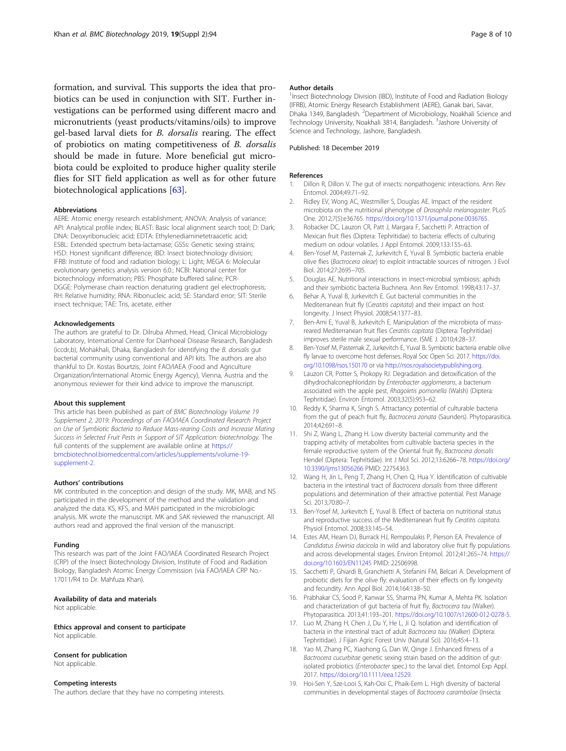<span id="page-7-0"></span>formation, and survival. This supports the idea that probiotics can be used in conjunction with SIT. Further investigations can be performed using different macro and micronutrients (yeast products/vitamins/oils) to improve gel-based larval diets for B. dorsalis rearing. The effect of probiotics on mating competitiveness of B. dorsalis should be made in future. More beneficial gut microbiota could be exploited to produce higher quality sterile flies for SIT field application as well as for other future biotechnological applications [\[63](#page-9-0)].

#### Abbreviations

AERE: Atomic energy research establishment; ANOVA: Analysis of variance; API: Analytical profile index; BLAST: Basic local alignment search tool; D: Dark; DNA: Deoxyribonucleic acid; EDTA: Ethylenediaminetetraacetic acid; ESBL: Extended spectrum beta-lactamase; GSSs: Genetic sexing strains; HSD: Honest significant difference; IBD: Insect biotechnology division; IFRB: Institute of food and radiation biology; L: Light; MEGA 6: Molecular evolutionary genetics analysis version 6.0.; NCBI: National center for biotechnology information; PBS: Phosphate buffered saline; PCR-DGGE: Polymerase chain reaction denaturing gradient gel electrophoresis; RH: Relative humidity; RNA: Ribonucleic acid; SE: Standard error; SIT: Sterile insect technique; TAE: Tris, acetate, either

#### Acknowledgements

The authors are grateful to Dr. Dilruba Ahmed, Head, Clinical Microbiology Laboratory, International Centre for Diarrhoeal Disease Research, Bangladesh (iccdr,b), Mohakhali, Dhaka, Bangladesh for identifying the B. dorsalis gut bacterial community using conventional and API kits. The authors are also thankful to Dr. Kostas Bourtzis, Joint FAO/IAEA (Food and Agriculture Organization/International Atomic Energy Agency), Vienna, Austria and the anonymous reviewer for their kind advice to improve the manuscript.

#### About this supplement

This article has been published as part of BMC Biotechnology Volume 19 Supplement 2, 2019: Proceedings of an FAO/IAEA Coordinated Research Project on Use of Symbiotic Bacteria to Reduce Mass-rearing Costs and Increase Mating Success in Selected Fruit Pests in Support of SIT Application: biotechnology. The full contents of the supplement are available online at [https://](https://bmcbiotechnol.biomedcentral.com/articles/supplements/volume-19-supplement-2) [bmcbiotechnol.biomedcentral.com/articles/supplements/volume-19](https://bmcbiotechnol.biomedcentral.com/articles/supplements/volume-19-supplement-2) [supplement-2](https://bmcbiotechnol.biomedcentral.com/articles/supplements/volume-19-supplement-2).

#### Authors' contributions

MK contributed in the conception and design of the study. MK, MAB, and NS participated in the development of the method and the validation and analyzed the data. KS, KFS, and MAH participated in the microbiologic analysis. MK wrote the manuscript. MK and SAK reviewed the manuscript. All authors read and approved the final version of the manuscript.

#### Funding

This research was part of the Joint FAO/IAEA Coordinated Research Project (CRP) of the Insect Biotechnology Division, Institute of Food and Radiation Biology, Bangladesh Atomic Energy Commission (via FAO/IAEA CRP No.- 17011/R4 to Dr. Mahfuza Khan).

#### Availability of data and materials

Not applicable.

Ethics approval and consent to participate Not applicable.

#### Consent for publication

Not applicable.

# Competing interests

The authors declare that they have no competing interests.

#### Author details

<sup>1</sup> Insect Biotechnology Division (IBD), Institute of Food and Radiation Biology (IFRB), Atomic Energy Research Establishment (AERE), Ganak bari, Savar, Dhaka 1349, Bangladesh. <sup>2</sup>Department of Microbiology, Noakhali Science and Technology University, Noakhali 3814, Bangladesh. <sup>3</sup>Jashore University of Science and Technology, Jashore, Bangladesh.

#### Published: 18 December 2019

#### References

- 1. Dillon R, Dillon V. The gut of insects: nonpathogenic interactions. Ann Rev Entomol. 2004;49:71–92.
- 2. Ridley EV, Wong AC, Westmiller S, Douglas AE. Impact of the resident microbiota on the nutritional phenotype of Drosophila melanogaster. PLoS One. 2012;7(5):e36765. <https://doi.org/10.1371/journal.pone.0036765>.
- 3. Robacker DC, Lauzon CR, Patt J, Margara F, Sacchetti P. Attraction of Mexican fruit flies (Diptera: Tephritidae) to bacteria: effects of culturing medium on odour volatiles. J Appl Entomol. 2009;133:155–63.
- 4. Ben-Yosef M, Pasternak Z, Jurkevitch E, Yuval B. Symbiotic bacteria enable olive flies (Bactrocera oleae) to exploit intractable sources of nitrogen. J Evol Biol. 2014;27:2695–705.
- 5. Douglas AE. Nutritional interactions in insect-microbial symbiosis: aphids and their symbiotic bacteria Buchnera. Ann Rev Entomol. 1998;43:17–37.
- 6. Behar A, Yuval B, Jurkevitch E. Gut bacterial communities in the Mediterranean fruit fly (Ceratitis capitata) and their impact on host longevity. J Insect Physiol. 2008;54:1377–83.
- 7. Ben-Ami E, Yuval B, Jurkevitch E. Manipulation of the microbiota of massreared Mediterranean fruit flies Ceratitis capitata (Diptera: Tephritidae) improves sterile male sexual performance. ISME J. 2010;4:28–37.
- 8. Ben-Yosef M, Pasternak Z, Jurkevitch E, Yuval B. Symbiotic bacteria enable olive fly larvae to overcome host defenses. Royal Soc Open Sci. 2017. [https://doi.](https://doi.org/10.1098/rsos.150170) [org/10.1098/rsos.150170](https://doi.org/10.1098/rsos.150170) or via [http://rsos.royalsocietypublishing.org.](http://rsos.royalsocietypublishing.org)
- Lauzon CR, Potter S, Prokopy RJ. Degradation and detoxification of the dihydrochalconephloridzin by Enterobacter agglomerans, a bacterium associated with the apple pest, Rhagoletis pomonella (Walsh) (Diptera: Tephritidae). Environ Entomol. 2003;32(5):953–62.
- 10. Reddy K, Sharma K, Singh S. Attractancy potential of culturable bacteria from the gut of peach fruit fly, Bactrocera zonata (Saunders). Phytoparasitica. 2014;42:691–8.
- 11. Shi Z, Wang L, Zhang H. Low diversity bacterial community and the trapping activity of metabolites from cultivable bacteria species in the female reproductive system of the Oriental fruit fly, Bactrocera dorsalis Hendel (Diptera: Tephritidae). Int J Mol Sci. 2012;13:6266–78. [https://doi.org/](https://doi.org/10.3390/ijms13056266) [10.3390/ijms13056266](https://doi.org/10.3390/ijms13056266) PMID: 22754363.
- 12. Wang H, Jin L, Peng T, Zhang H, Chen Q, Hua Y. Identification of cultivable bacteria in the intestinal tract of Bactrocera dorsalis from three different populations and determination of their attractive potential. Pest Manage Sci. 2013;70:80–7.
- 13. Ben-Yosef M, Jurkevitch E, Yuval B. Effect of bacteria on nutritional status and reproductive success of the Mediterranean fruit fly Ceratitis capitata. Physiol Entomol. 2008;33:145–54.
- 14. Estes AM, Hearn DJ, Burrack HJ, Rempoulakis P, Pierson EA. Prevalence of Candidatus Erwinia dacicola in wild and laboratory olive fruit fly populations and across developmental stages. Environ Entomol. 2012;41:265–74. [https://](https://doi.org/10.1603/EN11245) [doi.org/10.1603/EN11245](https://doi.org/10.1603/EN11245) PMID: 22506998.
- 15. Sacchetti P, Ghiardi B, Granchietti A, Stefanini FM, Belcari A. Development of probiotic diets for the olive fly: evaluation of their effects on fly longevity and fecundity. Ann Appl Biol. 2014;164:138–50.
- 16. Prabhakar CS, Sood P, Kanwar SS, Sharma PN, Kumar A, Mehta PK. Isolation and characterization of gut bacteria of fruit fly, Bactrocera tau (Walker). Phytoparasitica. 2013;41:193–201. <https://doi.org/10.1007/s12600-012-0278-5>.
- 17. Luo M, Zhang H, Chen J, Du Y, He L, Ji Q. Isolation and identification of bacteria in the intestinal tract of adult Bactrocera tau (Walker) (Diptera: Tephritidae). J Fijian Agric Forest Univ (Natural Sci). 2016;45:4–13.
- 18. Yao M, Zhang PC, Xiaohong G, Dan W, Qinge J. Enhanced fitness of a Bactrocera cucurbitae genetic sexing strain based on the addition of gutisolated probiotics (Enterobacter spec.) to the larval diet. Entomol Exp Appl. 2017. <https://doi.org/10.1111/eea.12529>.
- 19. Hoi-Sen Y, Sze-Looi S, Kah-Ooi C, Phaik-Eem L. High diversity of bacterial communities in developmental stages of Bactrocera carambolae (Insecta: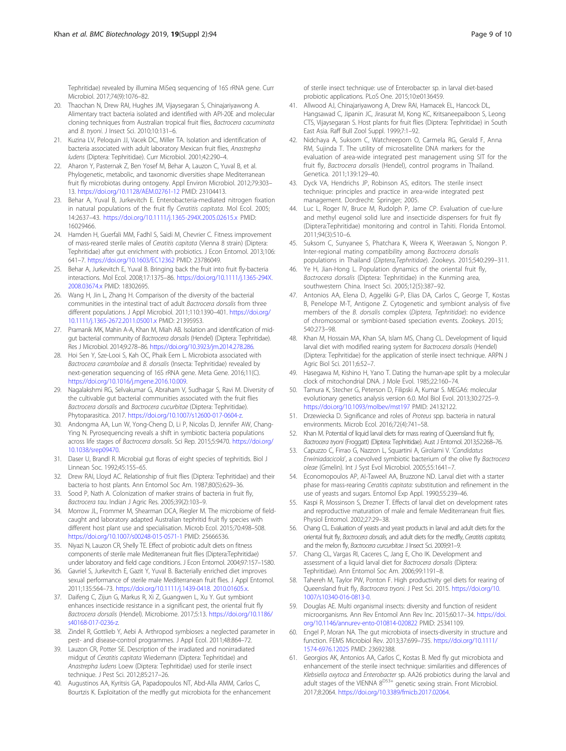<span id="page-8-0"></span>Tephritidae) revealed by illumina MiSeq sequencing of 16S rRNA gene. Curr Microbiol. 2017;74(9):1076–82.

- 20. Thaochan N, Drew RAI, Hughes JM, Vijaysegaran S, Chinajariyawong A. Alimentary tract bacteria isolated and identified with API-20E and molecular cloning techniques from Australian tropical fruit flies, Bactrocera cacuminata and B. tryoni. J Insect Sci. 2010;10:131–6.
- 21. Kuzina LV, Peloquin JJ, Vacek DC, Miller TA. Isolation and identification of bacteria associated with adult laboratory Mexican fruit flies, Anastrepha ludens (Diptera: Tephritidae). Curr Microbiol. 2001;42:290–4.
- 22. Aharon Y, Pasternak Z, Ben Yosef M, Behar A, Lauzon C, Yuval B, et al. Phylogenetic, metabolic, and taxonomic diversities shape Mediterranean fruit fly microbiotas during ontogeny. Appl Environ Microbiol. 2012;79:303– 13. <https://doi.org/10.1128/AEM.02761-12> PMID: 23104413.
- 23. Behar A, Yuval B, Jurkevitch E. Enterobacteria-mediated nitrogen fixation in natural populations of the fruit fly Ceratitis capitata. Mol Ecol. 2005; 14:2637–43. <https://doi.org/10.1111/j.1365-294X.2005.02615.x> PMID: 16029466.
- 24. Hamden H, Guerfali MM, Fadhl S, Saidi M, Chevrier C. Fitness improvement of mass-reared sterile males of Ceratitis capitata (Vienna 8 strain) (Diptera: Tephritidae) after gut enrichment with probiotics. J Econ Entomol. 2013;106: 641–7. <https://doi.org/10.1603/EC12362> PMID: 23786049.
- 25. Behar A, Jurkevitch E, Yuval B. Bringing back the fruit into fruit fly-bacteria interactions. Mol Ecol. 2008;17:1375–86. [https://doi.org/10.1111/j.1365-294X.](https://doi.org/10.1111/j.1365-294X.2008.03674.x) [2008.03674.x](https://doi.org/10.1111/j.1365-294X.2008.03674.x) PMID: 18302695.
- 26. Wang H, Jin L, Zhang H. Comparison of the diversity of the bacterial communities in the intestinal tract of adult Bactrocera dorsalis from three different populations. J Appl Microbiol. 2011;110:1390–401. [https://doi.org/](https://doi.org/10.1111/j.1365-2672.2011.05001.x) [10.1111/j.1365-2672.2011.05001.x](https://doi.org/10.1111/j.1365-2672.2011.05001.x) PMID: 21395953.
- 27. Pramanik MK, Mahin A-A, Khan M, Miah AB. Isolation and identification of midgut bacterial community of Bactrocera dorsalis (Hendel) (Diptera: Tephritidae). Res J Microbiol. 2014;9:278–86. [https://doi.org/10.3923/jm.2014.278.286.](https://doi.org/10.3923/jm.2014.278.286)
- 28. Hoi Sen Y, Sze-Looi S, Kah OC, Phaik Eem L. Microbiota associated with Bactrocera carambolae and B. dorsalis (Insecta: Tephritidae) revealed by next-generation sequencing of 16S rRNA gene. Meta Gene. 2016;11(C). <https://doi.org/10.1016/j.mgene.2016.10.009>.
- 29. Nagalakshmi RG, Selvakumar G, Abraham V, Sudhagar S, Ravi M. Diversity of the cultivable gut bacterial communities associated with the fruit flies Bactrocera dorsalis and Bactrocera cucurbitae (Diptera: Tephritidae). Phytoparasitica. 2017. [https://doi.org/10.1007/s12600-017-0604-z.](https://doi.org/10.1007/s12600-017-0604-z)
- 30. Andongma AA, Lun W, Yong-Cheng D, Li P, Nicolas D, Jennifer AW, Chang-Ying N. Pyrosequencing reveals a shift in symbiotic bacteria populations across life stages of Bactrocera dorsalis. Sci Rep. 2015;5:9470. [https://doi.org/](https://doi.org/10.1038/srep09470) [10.1038/srep09470.](https://doi.org/10.1038/srep09470)
- 31. Daser U, Brandl R. Microbial gut floras of eight species of tephritids. Biol J Linnean Soc. 1992;45:155–65.
- 32. Drew RAI, Lloyd AC. Relationship of fruit flies (Diptera: Tephritidae) and their bacteria to host plants. Ann Entomol Soc Am. 1987;80(5):629–36.
- 33. Sood P, Nath A. Colonization of marker strains of bacteria in fruit fly, Bactrocera tau. Indian J Agric Res. 2005;39(2):103–9.
- 34. Morrow JL, Frommer M, Shearman DCA, Riegler M. The microbiome of fieldcaught and laboratory adapted Australian tephritid fruit fly species with different host plant use and specialisation. Microb Ecol. 2015;70:498–508. <https://doi.org/10.1007/s00248-015-0571-1> PMID: 25666536.
- 35. Niyazi N, Lauzon CR, Shelly TE. Effect of probiotic adult diets on fitness components of sterile male Mediterranean fruit flies (Diptera:Tephritidae) under laboratory and field cage conditions. J Econ Entomol. 2004;97:157–1580.
- 36. Gavriel S, Jurkevitch E, Gazit Y, Yuval B. Bacterially enriched diet improves sexual performance of sterile male Mediterranean fruit flies. J Appl Entomol. 2011;135:564–73. [https://doi.org/10.1111/j.1439-0418. 2010.01605.x.](https://doi.org/10.1111/j.1439-0418. 2010.01605.x)
- 37. Daifeng C, Zijun G, Markus R, Xi Z, Guangwen L, Xu Y. Gut symbiont enhances insecticide resistance in a significant pest, the oriental fruit fly Bactrocera dorsalis (Hendel). Microbiome. 2017;5:13. [https://doi.org/10.1186/](https://doi.org/10.1186/s40168-017-0236-z) [s40168-017-0236-z](https://doi.org/10.1186/s40168-017-0236-z).
- 38. Zindel R, Gottlieb Y, Aebi A. Arthropod symbioses: a neglected parameter in pest- and disease-control programmes. J Appl Ecol. 2011;48:864–72.
- 39. Lauzon CR, Potter SE. Description of the irradiated and nonirradiated midgut of Ceratitis capitata Wiedemann (Diptera: Tephritidae) and Anastrepha ludens Loew (Diptera: Tephritidae) used for sterile insect technique. J Pest Sci. 2012;85:217–26.
- 40. Augustinos AA, Kyritsis GA, Papadopoulos NT, Abd-Alla AMM, Carlos C, Bourtzis K. Exploitation of the medfly gut microbiota for the enhancement

of sterile insect technique: use of Enterobacter sp. in larval diet-based probiotic applications. PLoS One. 2015;10:e0136459.

- 41. Allwood AJ, Chinajariyawong A, Drew RAI, Hamacek EL, Hancock DL, Hangsawad C, Jipanin JC, Jirasurat M, Kong KC, Kritsaneepaiboon S, Leong CTS, Vijaysegaran S. Host plants for fruit flies (Diptera: Tephritidae) in South East Asia. Raff Bull Zool Suppl. 1999;7:1–92.
- 42. Nidchaya A, Suksom C, Watchreeporn O, Carmela RG, Gerald F, Anna RM, Sujinda T. The utility of microsatellite DNA markers for the evaluation of area-wide integrated pest management using SIT for the fruit fly, Bactrocera dorsalis (Hendel), control programs in Thailand. Genetica. 2011;139:129–40.
- 43. Dyck VA, Hendrichs JP, Robinson AS, editors. The sterile insect technique: principles and practice in area-wide integrated pest management. Dordrecht: Springer; 2005.
- 44. Luc L, Roger IV, Bruce M, Rudolph P, Jame CP. Evaluation of cue-lure and methyl eugenol solid lure and insecticide dispensers for fruit fly (Diptera:Tephritidae) monitoring and control in Tahiti. Florida Entomol. 2011;94(3):510–6.
- 45. Suksom C, Sunyanee S, Phatchara K, Weera K, Weerawan S, Nongon P. Inter-regional mating compatibility among Bactrocera dorsalis populations in Thailand (Diptera,Tephritidae). Zookeys. 2015;540:299–311.
- Ye H, Jian-Hong L. Population dynamics of the oriental fruit fly, Bactrocera dorsalis (Diptera: Tephritidae) in the Kunming area, southwestern China. Insect Sci. 2005;12(5):387–92.
- 47. Antonios AA, Elena D, Aggeliki G-P, Elias DA, Carlos C, George T, Kostas B, Penelope M-T, Antigone Z. Cytogenetic and symbiont analysis of five members of the B. dorsalis complex (Diptera, Tephritidae): no evidence of chromosomal or symbiont-based speciation events. Zookeys. 2015; 540:273–98.
- 48. Khan M, Hossain MA, Khan SA, Islam MS, Chang CL. Development of liquid larval diet with modified rearing system for Bactrocera dorsalis (Hendel) (Diptera: Tephritidae) for the application of sterile insect technique. ARPN J Agric Biol Sci. 2011;6:52–7.
- 49. Hasegawa M, Kishino H, Yano T. Dating the human-ape split by a molecular clock of mitochondrial DNA. J Mole Evol. 1985;22:160–74.
- 50. Tamura K, Stecher G, Peterson D, Filipski A, Kumar S. MEGA6: molecular evolutionary genetics analysis version 6.0. Mol Biol Evol. 2013;30:2725–9. <https://doi.org/10.1093/molbev/mst197> PMID: 24132122.
- 51. Drzewiecka D. Significance and roles of Proteus spp. bacteria in natural environments. Microb Ecol. 2016;72(4):741–58.
- 52. Khan M. Potential of liquid larval diets for mass rearing of Queensland fruit fly, Bactrocera tryoni (Froggatt) (Diptera: Tephritidae). Aust J Entomol. 2013;52:268–76.
- 53. Capuzzo C, Firrao G, Nazzon L, Squartini A, Girolami V. 'Candidatus Erwiniadacicola', a coevolved symbiotic bacterium of the olive fly Bactrocera oleae (Gmelin). Int J Syst Evol Microbiol. 2005;55:1641–7.
- 54. Economopoulos AP, Al-Taweel AA, Bruzzone ND. Larval diet with a starter phase for mass-rearing Ceratitis capitata: substitution and refinement in the use of yeasts and sugars. Entomol Exp Appl. 1990;55:239–46.
- 55. Kaspi R, Mossinson S, Drezner T. Effects of larval diet on development rates and reproductive maturation of male and female Mediterranean fruit flies. Physiol Entomol. 2002;27:29–38.
- 56. Chang CL. Evaluation of yeasts and yeast products in larval and adult diets for the oriental fruit fly, Bactrocera dorsalis, and adult diets for the medfly, Ceratitis capitata, and the melon fly, Bactrocera curcurbitae. J Insect Sci. 2009;9:1-9.
- 57. Chang CL, Vargas RI, Caceres C, Jang E, Cho IK. Development and assessment of a liquid larval diet for Bactrocera dorsalis (Diptera: Tephritidae). Ann Entomol Soc Am. 2006;99:1191–8.
- 58. Tahereh M, Taylor PW, Ponton F. High productivity gel diets for rearing of Queensland fruit fly, Bactrocera tryoni. J Pest Sci. 2015. [https://doi.org/10.](https://doi.org/10.1007/s10340-016-0813-0) [1007/s10340-016-0813-0](https://doi.org/10.1007/s10340-016-0813-0).
- 59. Douglas AE. Multi organismal insects: diversity and function of resident microorganisms. Ann Rev Entomol Ann Rev Inc. 2015;60:17–34. [https://doi.](https://doi.org/10.1146/annurev-ento-010814-020822) [org/10.1146/annurev-ento-010814-020822](https://doi.org/10.1146/annurev-ento-010814-020822) PMID: 25341109.
- 60. Engel P, Moran NA. The gut microbiota of insects-diversity in structure and function. FEMS Microbiol Rev. 2013;37:699–735. [https://doi.org/10.1111/](https://doi.org/10.1111/1574-6976.12025) [1574-6976.12025](https://doi.org/10.1111/1574-6976.12025) PMID: 23692388.
- 61. Georgios AK, Antonios AA, Carlos C, Kostas B. Med fly gut microbiota and enhancement of the sterile insect technique: similarities and differences of Klebsiella oxytoca and Enterobacter sp. AA26 probiotics during the larval and adult stages of the VIENNA 8<sup>D53+</sup> genetic sexing strain. Front Microbiol. 2017;8:2064. [https://doi.org/10.3389/fmicb.2017.02064.](https://doi.org/10.3389/fmicb.2017.02064)